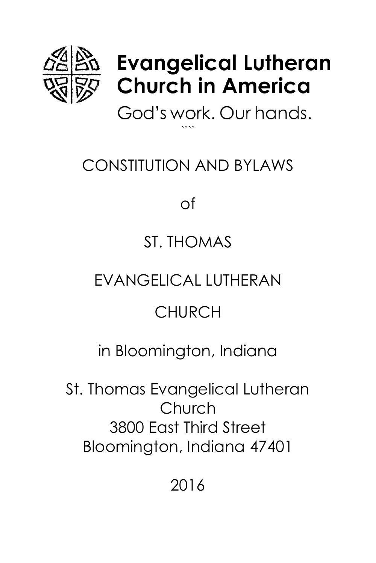

# <u>සීති</u> Evangelical Lutheran **Church in America**

God's work. Our hands.

## CONSTITUTION AND BYLAWS

 $\ddot{\mathbf{z}}$ 

of

## ST. THOMAS

## EVANGELICAL LUTHERAN

## CHURCH

## in Bloomington, Indiana

St. Thomas Evangelical Lutheran Church 3800 East Third Street Bloomington, Indiana 47401

2016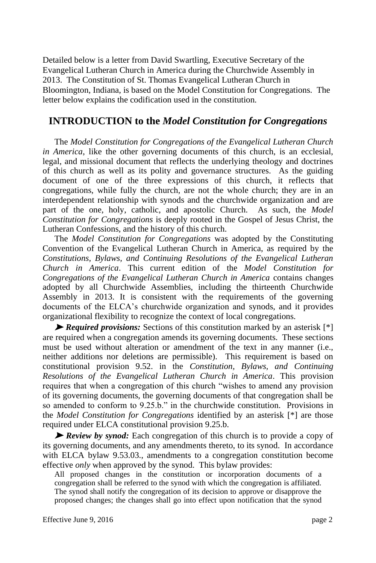Detailed below is a letter from David Swartling, Executive Secretary of the Evangelical Lutheran Church in America during the Churchwide Assembly in 2013. The Constitution of St. Thomas Evangelical Lutheran Church in Bloomington, Indiana, is based on the Model Constitution for Congregations. The letter below explains the codification used in the constitution.

### **INTRODUCTION to the** *Model Constitution for Congregations*

The *Model Constitution for Congregations of the Evangelical Lutheran Church in America*, like the other governing documents of this church, is an ecclesial, legal, and missional document that reflects the underlying theology and doctrines of this church as well as its polity and governance structures. As the guiding document of one of the three expressions of this church, it reflects that congregations, while fully the church, are not the whole church; they are in an interdependent relationship with synods and the churchwide organization and are part of the one, holy, catholic, and apostolic Church. As such, the *Model Constitution for Congregations* is deeply rooted in the Gospel of Jesus Christ, the Lutheran Confessions, and the history of this church.

The *Model Constitution for Congregations* was adopted by the Constituting Convention of the Evangelical Lutheran Church in America, as required by the *Constitutions, Bylaws, and Continuing Resolutions of the Evangelical Lutheran Church in America*. This current edition of the *Model Constitution for Congregations of the Evangelical Lutheran Church in America* contains changes adopted by all Churchwide Assemblies, including the thirteenth Churchwide Assembly in 2013. It is consistent with the requirements of the governing documents of the ELCA's churchwide organization and synods, and it provides organizational flexibility to recognize the context of local congregations.

➤ *Required provisions:* Sections of this constitution marked by an asterisk [\*] are required when a congregation amends its governing documents. These sections must be used without alteration or amendment of the text in any manner (i.e., neither additions nor deletions are permissible). This requirement is based on constitutional provision 9.52. in the *Constitution, Bylaws, and Continuing Resolutions of the Evangelical Lutheran Church in America*. This provision requires that when a congregation of this church "wishes to amend any provision of its governing documents, the governing documents of that congregation shall be so amended to conform to 9.25.b." in the churchwide constitution. Provisions in the *Model Constitution for Congregations* identified by an asterisk [\*] are those required under ELCA constitutional provision 9.25.b.

➤ *Review by synod:* Each congregation of this church is to provide a copy of its governing documents, and any amendments thereto, to its synod. In accordance with ELCA bylaw 9.53.03., amendments to a congregation constitution become effective *only* when approved by the synod. This bylaw provides:

All proposed changes in the constitution or incorporation documents of a congregation shall be referred to the synod with which the congregation is affiliated. The synod shall notify the congregation of its decision to approve or disapprove the proposed changes; the changes shall go into effect upon notification that the synod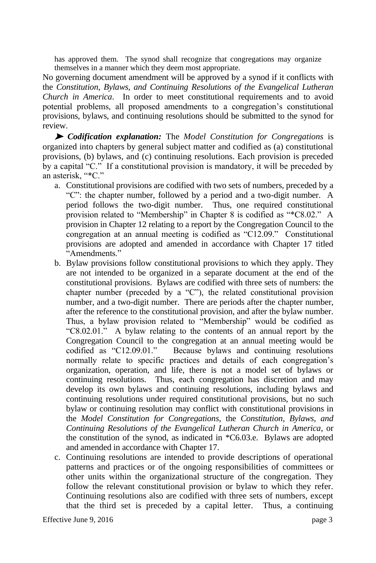has approved them. The synod shall recognize that congregations may organize themselves in a manner which they deem most appropriate.

No governing document amendment will be approved by a synod if it conflicts with the *Constitution, Bylaws, and Continuing Resolutions of the Evangelical Lutheran Church in America*. In order to meet constitutional requirements and to avoid potential problems, all proposed amendments to a congregation's constitutional provisions, bylaws, and continuing resolutions should be submitted to the synod for review.

➤ *Codification explanation:* The *Model Constitution for Congregations* is organized into chapters by general subject matter and codified as (a) constitutional provisions, (b) bylaws, and (c) continuing resolutions. Each provision is preceded by a capital "C." If a constitutional provision is mandatory, it will be preceded by an asterisk, "\*C."

- a. Constitutional provisions are codified with two sets of numbers, preceded by a "C": the chapter number, followed by a period and a two-digit number. A period follows the two-digit number. Thus, one required constitutional provision related to "Membership" in Chapter 8 is codified as "\*C8.02." A provision in Chapter 12 relating to a report by the Congregation Council to the congregation at an annual meeting is codified as "C12.09." Constitutional provisions are adopted and amended in accordance with Chapter 17 titled "Amendments."
- b. Bylaw provisions follow constitutional provisions to which they apply. They are not intended to be organized in a separate document at the end of the constitutional provisions. Bylaws are codified with three sets of numbers: the chapter number (preceded by a "C"), the related constitutional provision number, and a two-digit number. There are periods after the chapter number, after the reference to the constitutional provision, and after the bylaw number. Thus, a bylaw provision related to "Membership" would be codified as "C8.02.01." A bylaw relating to the contents of an annual report by the Congregation Council to the congregation at an annual meeting would be codified as "C12.09.01." Because bylaws and continuing resolutions normally relate to specific practices and details of each congregation's organization, operation, and life, there is not a model set of bylaws or continuing resolutions. Thus, each congregation has discretion and may develop its own bylaws and continuing resolutions, including bylaws and continuing resolutions under required constitutional provisions, but no such bylaw or continuing resolution may conflict with constitutional provisions in the *Model Constitution for Congregations*, the *Constitution, Bylaws, and Continuing Resolutions of the Evangelical Lutheran Church in America*, or the constitution of the synod, as indicated in \*C6.03.e. Bylaws are adopted and amended in accordance with Chapter 17.
- c. Continuing resolutions are intended to provide descriptions of operational patterns and practices or of the ongoing responsibilities of committees or other units within the organizational structure of the congregation. They follow the relevant constitutional provision or bylaw to which they refer. Continuing resolutions also are codified with three sets of numbers, except that the third set is preceded by a capital letter. Thus, a continuing

Effective June 9, 2016  $\qquad \qquad$  page 3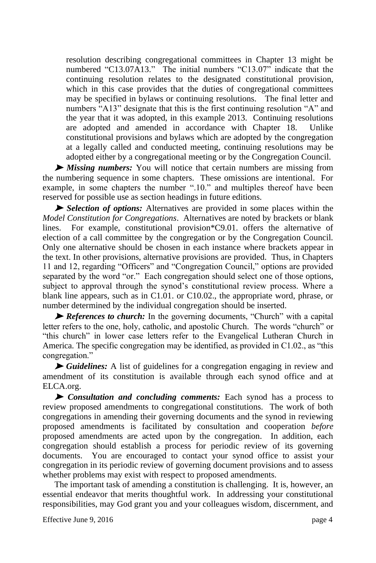resolution describing congregational committees in Chapter 13 might be numbered "C13.07A13." The initial numbers "C13.07" indicate that the continuing resolution relates to the designated constitutional provision, which in this case provides that the duties of congregational committees may be specified in bylaws or continuing resolutions. The final letter and numbers "A13" designate that this is the first continuing resolution "A" and the year that it was adopted, in this example 2013. Continuing resolutions are adopted and amended in accordance with Chapter 18. Unlike constitutional provisions and bylaws which are adopted by the congregation at a legally called and conducted meeting, continuing resolutions may be adopted either by a congregational meeting or by the Congregation Council.

➤ *Missing numbers:* You will notice that certain numbers are missing from the numbering sequence in some chapters. These omissions are intentional. For example, in some chapters the number ".10." and multiples thereof have been reserved for possible use as section headings in future editions.

➤ *Selection of options:* Alternatives are provided in some places within the *Model Constitution for Congregations*. Alternatives are noted by brackets or blank lines. For example, constitutional provision\*C9.01. offers the alternative of election of a call committee by the congregation or by the Congregation Council. Only one alternative should be chosen in each instance where brackets appear in the text. In other provisions, alternative provisions are provided. Thus, in Chapters 11 and 12, regarding "Officers" and "Congregation Council," options are provided separated by the word "or." Each congregation should select one of those options, subject to approval through the synod's constitutional review process. Where a blank line appears, such as in C1.01. or C10.02., the appropriate word, phrase, or number determined by the individual congregation should be inserted.

➤ *References to church:* In the governing documents, "Church" with a capital letter refers to the one, holy, catholic, and apostolic Church. The words "church" or "this church" in lower case letters refer to the Evangelical Lutheran Church in America. The specific congregation may be identified, as provided in C1.02., as "this congregation."

➤ *Guidelines:* A list of guidelines for a congregation engaging in review and amendment of its constitution is available through each synod office and at ELCA.org.

➤ *Consultation and concluding comments:* Each synod has a process to review proposed amendments to congregational constitutions. The work of both congregations in amending their governing documents and the synod in reviewing proposed amendments is facilitated by consultation and cooperation *before* proposed amendments are acted upon by the congregation. In addition, each congregation should establish a process for periodic review of its governing documents. You are encouraged to contact your synod office to assist your congregation in its periodic review of governing document provisions and to assess whether problems may exist with respect to proposed amendments.

The important task of amending a constitution is challenging. It is, however, an essential endeavor that merits thoughtful work. In addressing your constitutional responsibilities, may God grant you and your colleagues wisdom, discernment, and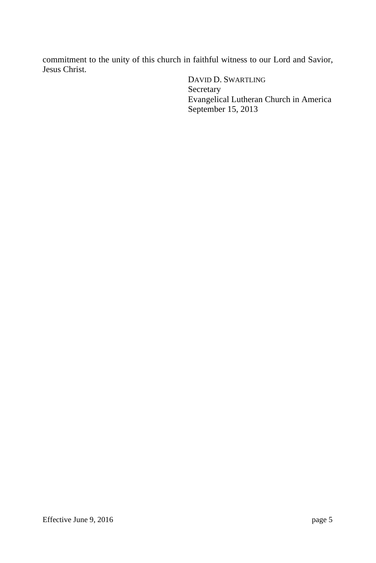commitment to the unity of this church in faithful witness to our Lord and Savior, Jesus Christ.

> DAVID D. SWARTLING Secretary Evangelical Lutheran Church in America September 15, 2013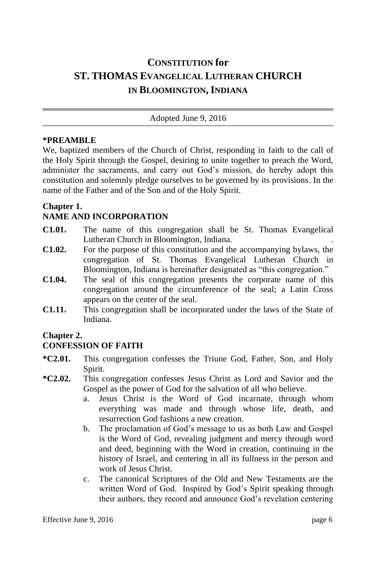## **CONSTITUTION for ST. THOMAS EVANGELICAL LUTHERAN CHURCH IN BLOOMINGTON, INDIANA**

#### Adopted June 9, 2016

#### **\*PREAMBLE**

We, baptized members of the Church of Christ, responding in faith to the call of the Holy Spirit through the Gospel, desiring to unite together to preach the Word, administer the sacraments, and carry out God's mission, do hereby adopt this constitution and solemnly pledge ourselves to be governed by its provisions. In the name of the Father and of the Son and of the Holy Spirit.

#### **Chapter 1.**

#### **NAME AND INCORPORATION**

- **C1.01.** The name of this congregation shall be St. Thomas Evangelical Lutheran Church in Bloomington, Indiana. .
- **C1.02.** For the purpose of this constitution and the accompanying bylaws, the congregation of St. Thomas Evangelical Lutheran Church in Bloomington, Indiana is hereinafter designated as "this congregation."
- **C1.04.** The seal of this congregation presents the corporate name of this congregation around the circumference of the seal; a Latin Cross appears on the center of the seal.
- **C1.11.** This congregation shall be incorporated under the laws of the State of Indiana.

#### **Chapter 2.**

#### **CONFESSION OF FAITH**

- **\*C2.01.** This congregation confesses the Triune God, Father, Son, and Holy Spirit.
- **\*C2.02.** This congregation confesses Jesus Christ as Lord and Savior and the Gospel as the power of God for the salvation of all who believe.
	- a. Jesus Christ is the Word of God incarnate, through whom everything was made and through whose life, death, and resurrection God fashions a new creation.
	- b. The proclamation of God's message to us as both Law and Gospel is the Word of God, revealing judgment and mercy through word and deed, beginning with the Word in creation, continuing in the history of Israel, and centering in all its fullness in the person and work of Jesus Christ.
	- c. The canonical Scriptures of the Old and New Testaments are the written Word of God. Inspired by God's Spirit speaking through their authors, they record and announce God's revelation centering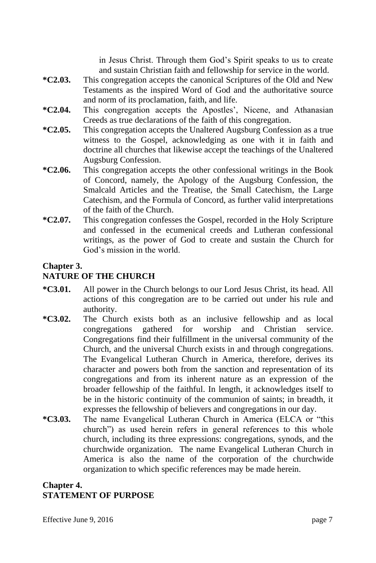in Jesus Christ. Through them God's Spirit speaks to us to create and sustain Christian faith and fellowship for service in the world.

- **\*C2.03.** This congregation accepts the canonical Scriptures of the Old and New Testaments as the inspired Word of God and the authoritative source and norm of its proclamation, faith, and life.
- **\*C2.04.** This congregation accepts the Apostles', Nicene, and Athanasian Creeds as true declarations of the faith of this congregation.
- **\*C2.05.** This congregation accepts the Unaltered Augsburg Confession as a true witness to the Gospel, acknowledging as one with it in faith and doctrine all churches that likewise accept the teachings of the Unaltered Augsburg Confession.
- **\*C2.06.** This congregation accepts the other confessional writings in the Book of Concord, namely, the Apology of the Augsburg Confession, the Smalcald Articles and the Treatise, the Small Catechism, the Large Catechism, and the Formula of Concord, as further valid interpretations of the faith of the Church.
- **\*C2.07.** This congregation confesses the Gospel, recorded in the Holy Scripture and confessed in the ecumenical creeds and Lutheran confessional writings, as the power of God to create and sustain the Church for God's mission in the world.

### **Chapter 3.**

## **NATURE OF THE CHURCH**

- **\*C3.01.** All power in the Church belongs to our Lord Jesus Christ, its head. All actions of this congregation are to be carried out under his rule and authority.
- **\*C3.02.** The Church exists both as an inclusive fellowship and as local congregations gathered for worship and Christian service. Congregations find their fulfillment in the universal community of the Church, and the universal Church exists in and through congregations. The Evangelical Lutheran Church in America, therefore, derives its character and powers both from the sanction and representation of its congregations and from its inherent nature as an expression of the broader fellowship of the faithful. In length, it acknowledges itself to be in the historic continuity of the communion of saints; in breadth, it expresses the fellowship of believers and congregations in our day.
- **\*C3.03.** The name Evangelical Lutheran Church in America (ELCA or "this church") as used herein refers in general references to this whole church, including its three expressions: congregations, synods, and the churchwide organization. The name Evangelical Lutheran Church in America is also the name of the corporation of the churchwide organization to which specific references may be made herein.

#### **Chapter 4. STATEMENT OF PURPOSE**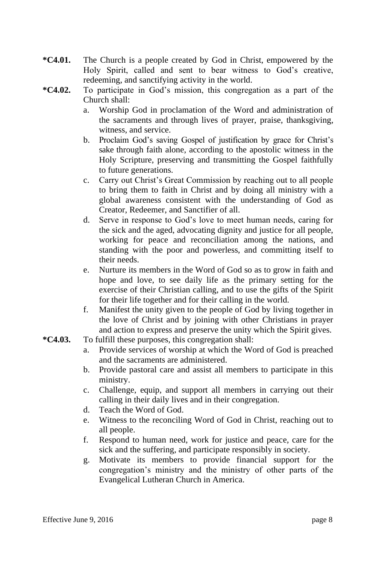- **\*C4.01.** The Church is a people created by God in Christ, empowered by the Holy Spirit, called and sent to bear witness to God's creative, redeeming, and sanctifying activity in the world.
- **\*C4.02.** To participate in God's mission, this congregation as a part of the Church shall:
	- a. Worship God in proclamation of the Word and administration of the sacraments and through lives of prayer, praise, thanksgiving, witness, and service.
	- b. Proclaim God's saving Gospel of justification by grace for Christ's sake through faith alone, according to the apostolic witness in the Holy Scripture, preserving and transmitting the Gospel faithfully to future generations.
	- c. Carry out Christ's Great Commission by reaching out to all people to bring them to faith in Christ and by doing all ministry with a global awareness consistent with the understanding of God as Creator, Redeemer, and Sanctifier of all.
	- d. Serve in response to God's love to meet human needs, caring for the sick and the aged, advocating dignity and justice for all people, working for peace and reconciliation among the nations, and standing with the poor and powerless, and committing itself to their needs.
	- e. Nurture its members in the Word of God so as to grow in faith and hope and love, to see daily life as the primary setting for the exercise of their Christian calling, and to use the gifts of the Spirit for their life together and for their calling in the world.
	- f. Manifest the unity given to the people of God by living together in the love of Christ and by joining with other Christians in prayer and action to express and preserve the unity which the Spirit gives.
- **\*C4.03.** To fulfill these purposes, this congregation shall:
	- a. Provide services of worship at which the Word of God is preached and the sacraments are administered.
	- b. Provide pastoral care and assist all members to participate in this ministry.
	- c. Challenge, equip, and support all members in carrying out their calling in their daily lives and in their congregation.
	- d. Teach the Word of God.
	- e. Witness to the reconciling Word of God in Christ, reaching out to all people.
	- f. Respond to human need, work for justice and peace, care for the sick and the suffering, and participate responsibly in society.
	- g. Motivate its members to provide financial support for the congregation's ministry and the ministry of other parts of the Evangelical Lutheran Church in America.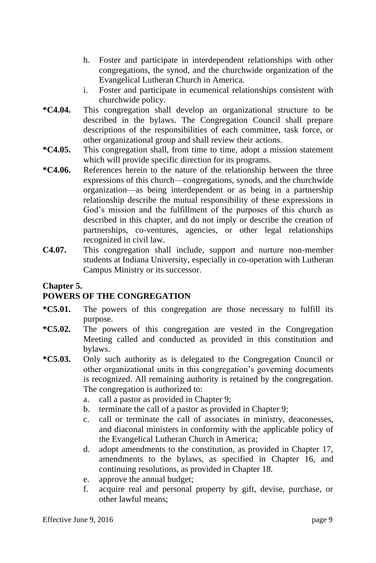- h. Foster and participate in interdependent relationships with other congregations, the synod, and the churchwide organization of the Evangelical Lutheran Church in America.
- i. Foster and participate in ecumenical relationships consistent with churchwide policy.
- **\*C4.04.** This congregation shall develop an organizational structure to be described in the bylaws. The Congregation Council shall prepare descriptions of the responsibilities of each committee, task force, or other organizational group and shall review their actions.
- **\*C4.05.** This congregation shall, from time to time, adopt a mission statement which will provide specific direction for its programs.
- **\*C4.06.** References herein to the nature of the relationship between the three expressions of this church—congregations, synods, and the churchwide organization—as being interdependent or as being in a partnership relationship describe the mutual responsibility of these expressions in God's mission and the fulfillment of the purposes of this church as described in this chapter, and do not imply or describe the creation of partnerships, co-ventures, agencies, or other legal relationships recognized in civil law.
- **C4.07.** This congregation shall include, support and nurture non-member students at Indiana University, especially in co-operation with Lutheran Campus Ministry or its successor.

#### **Chapter 5.**

## **POWERS OF THE CONGREGATION**

- **\*C5.01.** The powers of this congregation are those necessary to fulfill its purpose.
- **\*C5.02.** The powers of this congregation are vested in the Congregation Meeting called and conducted as provided in this constitution and bylaws.
- **\*C5.03.** Only such authority as is delegated to the Congregation Council or other organizational units in this congregation's governing documents is recognized. All remaining authority is retained by the congregation. The congregation is authorized to:
	- a. call a pastor as provided in Chapter 9;
	- b. terminate the call of a pastor as provided in Chapter 9;
	- c. call or terminate the call of associates in ministry, deaconesses, and diaconal ministers in conformity with the applicable policy of the Evangelical Lutheran Church in America;
	- d. adopt amendments to the constitution, as provided in Chapter 17, amendments to the bylaws, as specified in Chapter 16, and continuing resolutions, as provided in Chapter 18.
	- e. approve the annual budget;
	- f. acquire real and personal property by gift, devise, purchase, or other lawful means;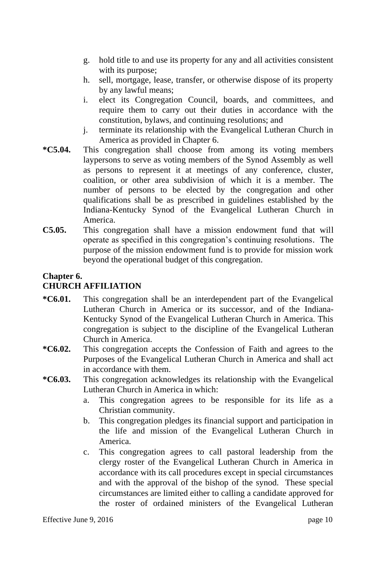- g. hold title to and use its property for any and all activities consistent with its purpose;
- h. sell, mortgage, lease, transfer, or otherwise dispose of its property by any lawful means;
- i. elect its Congregation Council, boards, and committees, and require them to carry out their duties in accordance with the constitution, bylaws, and continuing resolutions; and
- j. terminate its relationship with the Evangelical Lutheran Church in America as provided in Chapter 6.
- **\*C5.04.** This congregation shall choose from among its voting members laypersons to serve as voting members of the Synod Assembly as well as persons to represent it at meetings of any conference, cluster, coalition, or other area subdivision of which it is a member. The number of persons to be elected by the congregation and other qualifications shall be as prescribed in guidelines established by the Indiana-Kentucky Synod of the Evangelical Lutheran Church in America.
- **C5.05.** This congregation shall have a mission endowment fund that will operate as specified in this congregation's continuing resolutions. The purpose of the mission endowment fund is to provide for mission work beyond the operational budget of this congregation.

### **Chapter 6. CHURCH AFFILIATION**

- **\*C6.01.** This congregation shall be an interdependent part of the Evangelical Lutheran Church in America or its successor, and of the Indiana-Kentucky Synod of the Evangelical Lutheran Church in America. This congregation is subject to the discipline of the Evangelical Lutheran Church in America.
- **\*C6.02.** This congregation accepts the Confession of Faith and agrees to the Purposes of the Evangelical Lutheran Church in America and shall act in accordance with them.
- **\*C6.03.** This congregation acknowledges its relationship with the Evangelical Lutheran Church in America in which:
	- a. This congregation agrees to be responsible for its life as a Christian community.
	- b. This congregation pledges its financial support and participation in the life and mission of the Evangelical Lutheran Church in America.
	- c. This congregation agrees to call pastoral leadership from the clergy roster of the Evangelical Lutheran Church in America in accordance with its call procedures except in special circumstances and with the approval of the bishop of the synod. These special circumstances are limited either to calling a candidate approved for the roster of ordained ministers of the Evangelical Lutheran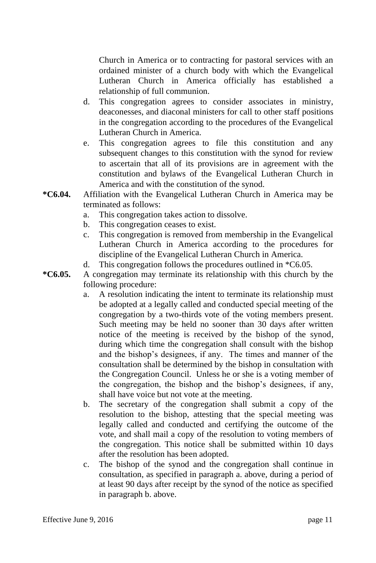Church in America or to contracting for pastoral services with an ordained minister of a church body with which the Evangelical Lutheran Church in America officially has established a relationship of full communion.

- d. This congregation agrees to consider associates in ministry, deaconesses, and diaconal ministers for call to other staff positions in the congregation according to the procedures of the Evangelical Lutheran Church in America.
- e. This congregation agrees to file this constitution and any subsequent changes to this constitution with the synod for review to ascertain that all of its provisions are in agreement with the constitution and bylaws of the Evangelical Lutheran Church in America and with the constitution of the synod.
- **\*C6.04.** Affiliation with the Evangelical Lutheran Church in America may be terminated as follows:
	- a. This congregation takes action to dissolve.
	- b. This congregation ceases to exist.
	- c. This congregation is removed from membership in the Evangelical Lutheran Church in America according to the procedures for discipline of the Evangelical Lutheran Church in America.
	- d. This congregation follows the procedures outlined in \*C6.05.
- **\*C6.05.** A congregation may terminate its relationship with this church by the following procedure:
	- a. A resolution indicating the intent to terminate its relationship must be adopted at a legally called and conducted special meeting of the congregation by a two-thirds vote of the voting members present. Such meeting may be held no sooner than 30 days after written notice of the meeting is received by the bishop of the synod, during which time the congregation shall consult with the bishop and the bishop's designees, if any. The times and manner of the consultation shall be determined by the bishop in consultation with the Congregation Council. Unless he or she is a voting member of the congregation, the bishop and the bishop's designees, if any, shall have voice but not vote at the meeting.
	- b. The secretary of the congregation shall submit a copy of the resolution to the bishop, attesting that the special meeting was legally called and conducted and certifying the outcome of the vote, and shall mail a copy of the resolution to voting members of the congregation. This notice shall be submitted within 10 days after the resolution has been adopted.
	- c. The bishop of the synod and the congregation shall continue in consultation, as specified in paragraph a. above, during a period of at least 90 days after receipt by the synod of the notice as specified in paragraph b. above.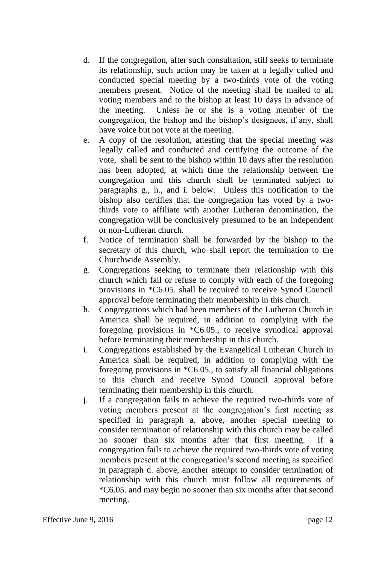- d. If the congregation, after such consultation, still seeks to terminate its relationship, such action may be taken at a legally called and conducted special meeting by a two-thirds vote of the voting members present. Notice of the meeting shall be mailed to all voting members and to the bishop at least 10 days in advance of the meeting. Unless he or she is a voting member of the congregation, the bishop and the bishop's designees, if any, shall have voice but not vote at the meeting.
- e. A copy of the resolution, attesting that the special meeting was legally called and conducted and certifying the outcome of the vote, shall be sent to the bishop within 10 days after the resolution has been adopted, at which time the relationship between the congregation and this church shall be terminated subject to paragraphs g., h., and i. below. Unless this notification to the bishop also certifies that the congregation has voted by a twothirds vote to affiliate with another Lutheran denomination, the congregation will be conclusively presumed to be an independent or non-Lutheran church.
- f. Notice of termination shall be forwarded by the bishop to the secretary of this church, who shall report the termination to the Churchwide Assembly.
- g. Congregations seeking to terminate their relationship with this church which fail or refuse to comply with each of the foregoing provisions in \*C6.05. shall be required to receive Synod Council approval before terminating their membership in this church.
- h. Congregations which had been members of the Lutheran Church in America shall be required, in addition to complying with the foregoing provisions in \*C6.05., to receive synodical approval before terminating their membership in this church.
- i. Congregations established by the Evangelical Lutheran Church in America shall be required, in addition to complying with the foregoing provisions in \*C6.05., to satisfy all financial obligations to this church and receive Synod Council approval before terminating their membership in this church.
- j. If a congregation fails to achieve the required two-thirds vote of voting members present at the congregation's first meeting as specified in paragraph a. above, another special meeting to consider termination of relationship with this church may be called no sooner than six months after that first meeting. If a congregation fails to achieve the required two-thirds vote of voting members present at the congregation's second meeting as specified in paragraph d. above, another attempt to consider termination of relationship with this church must follow all requirements of \*C6.05. and may begin no sooner than six months after that second meeting.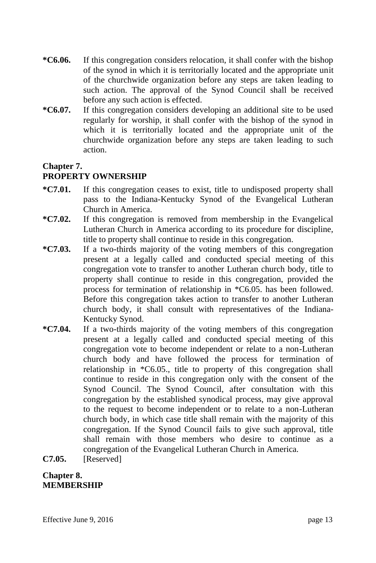- **\*C6.06.** If this congregation considers relocation, it shall confer with the bishop of the synod in which it is territorially located and the appropriate unit of the churchwide organization before any steps are taken leading to such action. The approval of the Synod Council shall be received before any such action is effected.
- **\*C6.07.** If this congregation considers developing an additional site to be used regularly for worship, it shall confer with the bishop of the synod in which it is territorially located and the appropriate unit of the churchwide organization before any steps are taken leading to such action.

#### **Chapter 7.**

#### **PROPERTY OWNERSHIP**

- **\*C7.01.** If this congregation ceases to exist, title to undisposed property shall pass to the Indiana-Kentucky Synod of the Evangelical Lutheran Church in America.
- **\*C7.02.** If this congregation is removed from membership in the Evangelical Lutheran Church in America according to its procedure for discipline, title to property shall continue to reside in this congregation.
- **\*C7.03.** If a two-thirds majority of the voting members of this congregation present at a legally called and conducted special meeting of this congregation vote to transfer to another Lutheran church body, title to property shall continue to reside in this congregation, provided the process for termination of relationship in \*C6.05. has been followed. Before this congregation takes action to transfer to another Lutheran church body, it shall consult with representatives of the Indiana-Kentucky Synod.
- **\*C7.04.** If a two-thirds majority of the voting members of this congregation present at a legally called and conducted special meeting of this congregation vote to become independent or relate to a non-Lutheran church body and have followed the process for termination of relationship in \*C6.05., title to property of this congregation shall continue to reside in this congregation only with the consent of the Synod Council. The Synod Council, after consultation with this congregation by the established synodical process, may give approval to the request to become independent or to relate to a non-Lutheran church body, in which case title shall remain with the majority of this congregation. If the Synod Council fails to give such approval, title shall remain with those members who desire to continue as a congregation of the Evangelical Lutheran Church in America.
- **C7.05.** [Reserved]

#### **Chapter 8. MEMBERSHIP**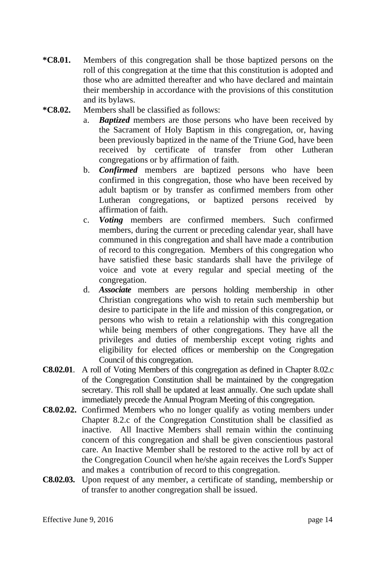- **\*C8.01.** Members of this congregation shall be those baptized persons on the roll of this congregation at the time that this constitution is adopted and those who are admitted thereafter and who have declared and maintain their membership in accordance with the provisions of this constitution and its bylaws.
- **\*C8.02.** Members shall be classified as follows:
	- a. *Baptized* members are those persons who have been received by the Sacrament of Holy Baptism in this congregation, or, having been previously baptized in the name of the Triune God, have been received by certificate of transfer from other Lutheran congregations or by affirmation of faith.
	- b. *Confirmed* members are baptized persons who have been confirmed in this congregation, those who have been received by adult baptism or by transfer as confirmed members from other Lutheran congregations, or baptized persons received by affirmation of faith.
	- c. *Voting* members are confirmed members. Such confirmed members, during the current or preceding calendar year, shall have communed in this congregation and shall have made a contribution of record to this congregation. Members of this congregation who have satisfied these basic standards shall have the privilege of voice and vote at every regular and special meeting of the congregation.
	- d. *Associate* members are persons holding membership in other Christian congregations who wish to retain such membership but desire to participate in the life and mission of this congregation, or persons who wish to retain a relationship with this congregation while being members of other congregations. They have all the privileges and duties of membership except voting rights and eligibility for elected offices or membership on the Congregation Council of this congregation.
- **C8.02.01**. A roll of Voting Members of this congregation as defined in Chapter 8.02.c of the Congregation Constitution shall be maintained by the congregation secretary. This roll shall be updated at least annually. One such update shall immediately precede the Annual Program Meeting of this congregation.
- **C8.02.02.** Confirmed Members who no longer qualify as voting members under Chapter 8.2.c of the Congregation Constitution shall be classified as inactive. All Inactive Members shall remain within the continuing concern of this congregation and shall be given conscientious pastoral care. An Inactive Member shall be restored to the active roll by act of the Congregation Council when he/she again receives the Lord's Supper and makes a contribution of record to this congregation.
- **C8.02.03.** Upon request of any member, a certificate of standing, membership or of transfer to another congregation shall be issued.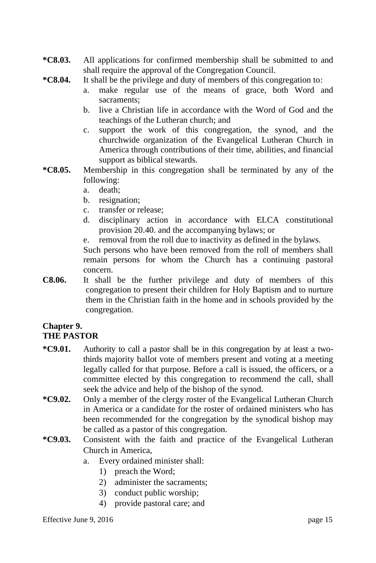- **\*C8.03.** All applications for confirmed membership shall be submitted to and shall require the approval of the Congregation Council.
- **\*C8.04.** It shall be the privilege and duty of members of this congregation to:
	- a. make regular use of the means of grace, both Word and sacraments;
	- b. live a Christian life in accordance with the Word of God and the teachings of the Lutheran church; and
	- c. support the work of this congregation, the synod, and the churchwide organization of the Evangelical Lutheran Church in America through contributions of their time, abilities, and financial support as biblical stewards.
- **\*C8.05.** Membership in this congregation shall be terminated by any of the following:
	- a. death;
	- b. resignation;
	- c. transfer or release;
	- d. disciplinary action in accordance with ELCA constitutional provision 20.40. and the accompanying bylaws; or
	- e. removal from the roll due to inactivity as defined in the bylaws.

Such persons who have been removed from the roll of members shall remain persons for whom the Church has a continuing pastoral concern.

**C8.06.** It shall be the further privilege and duty of members of this congregation to present their children for Holy Baptism and to nurture them in the Christian faith in the home and in schools provided by the congregation.

#### **Chapter 9. THE PASTOR**

- **\*C9.01.** Authority to call a pastor shall be in this congregation by at least a twothirds majority ballot vote of members present and voting at a meeting legally called for that purpose. Before a call is issued, the officers, or a committee elected by this congregation to recommend the call, shall seek the advice and help of the bishop of the synod.
- **\*C9.02.** Only a member of the clergy roster of the Evangelical Lutheran Church in America or a candidate for the roster of ordained ministers who has been recommended for the congregation by the synodical bishop may be called as a pastor of this congregation.
- **\*C9.03.** Consistent with the faith and practice of the Evangelical Lutheran Church in America,
	- a. Every ordained minister shall:
		- 1) preach the Word;
		- 2) administer the sacraments;
		- 3) conduct public worship;
		- 4) provide pastoral care; and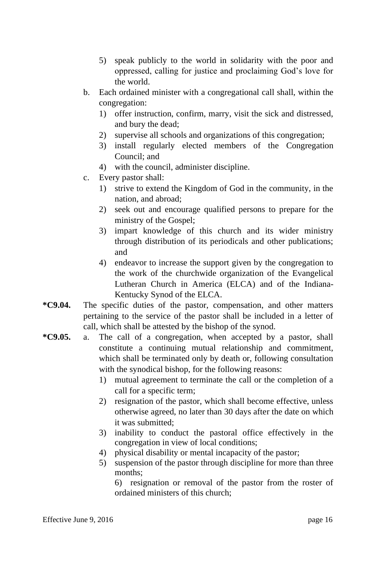- 5) speak publicly to the world in solidarity with the poor and oppressed, calling for justice and proclaiming God's love for the world.
- b. Each ordained minister with a congregational call shall, within the congregation:
	- 1) offer instruction, confirm, marry, visit the sick and distressed, and bury the dead;
	- 2) supervise all schools and organizations of this congregation;
	- 3) install regularly elected members of the Congregation Council; and
	- 4) with the council, administer discipline.
- c. Every pastor shall:
	- 1) strive to extend the Kingdom of God in the community, in the nation, and abroad;
	- 2) seek out and encourage qualified persons to prepare for the ministry of the Gospel;
	- 3) impart knowledge of this church and its wider ministry through distribution of its periodicals and other publications; and
	- 4) endeavor to increase the support given by the congregation to the work of the churchwide organization of the Evangelical Lutheran Church in America (ELCA) and of the Indiana-Kentucky Synod of the ELCA.
- **\*C9.04.** The specific duties of the pastor, compensation, and other matters pertaining to the service of the pastor shall be included in a letter of call, which shall be attested by the bishop of the synod.
- **\*C9.05.** a. The call of a congregation, when accepted by a pastor, shall constitute a continuing mutual relationship and commitment, which shall be terminated only by death or, following consultation with the synodical bishop, for the following reasons:
	- 1) mutual agreement to terminate the call or the completion of a call for a specific term;
	- 2) resignation of the pastor, which shall become effective, unless otherwise agreed, no later than 30 days after the date on which it was submitted;
	- 3) inability to conduct the pastoral office effectively in the congregation in view of local conditions;
	- 4) physical disability or mental incapacity of the pastor;
	- 5) suspension of the pastor through discipline for more than three months;

6) resignation or removal of the pastor from the roster of ordained ministers of this church;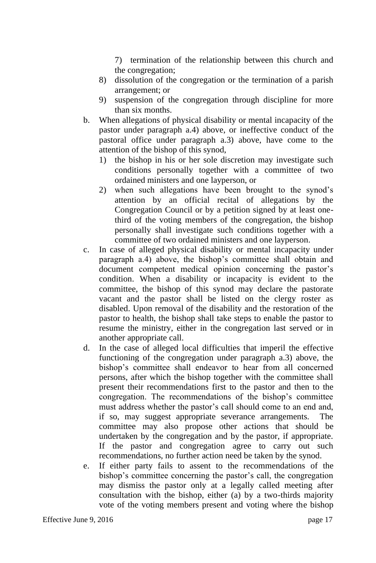7) termination of the relationship between this church and the congregation;

- 8) dissolution of the congregation or the termination of a parish arrangement; or
- 9) suspension of the congregation through discipline for more than six months.
- b. When allegations of physical disability or mental incapacity of the pastor under paragraph a.4) above, or ineffective conduct of the pastoral office under paragraph a.3) above, have come to the attention of the bishop of this synod,
	- 1) the bishop in his or her sole discretion may investigate such conditions personally together with a committee of two ordained ministers and one layperson, or
	- 2) when such allegations have been brought to the synod's attention by an official recital of allegations by the Congregation Council or by a petition signed by at least onethird of the voting members of the congregation, the bishop personally shall investigate such conditions together with a committee of two ordained ministers and one layperson.
- c. In case of alleged physical disability or mental incapacity under paragraph a.4) above, the bishop's committee shall obtain and document competent medical opinion concerning the pastor's condition. When a disability or incapacity is evident to the committee, the bishop of this synod may declare the pastorate vacant and the pastor shall be listed on the clergy roster as disabled. Upon removal of the disability and the restoration of the pastor to health, the bishop shall take steps to enable the pastor to resume the ministry, either in the congregation last served or in another appropriate call.
- d. In the case of alleged local difficulties that imperil the effective functioning of the congregation under paragraph a.3) above, the bishop's committee shall endeavor to hear from all concerned persons, after which the bishop together with the committee shall present their recommendations first to the pastor and then to the congregation. The recommendations of the bishop's committee must address whether the pastor's call should come to an end and, if so, may suggest appropriate severance arrangements. The committee may also propose other actions that should be undertaken by the congregation and by the pastor, if appropriate. If the pastor and congregation agree to carry out such recommendations, no further action need be taken by the synod.
- e. If either party fails to assent to the recommendations of the bishop's committee concerning the pastor's call, the congregation may dismiss the pastor only at a legally called meeting after consultation with the bishop, either (a) by a two-thirds majority vote of the voting members present and voting where the bishop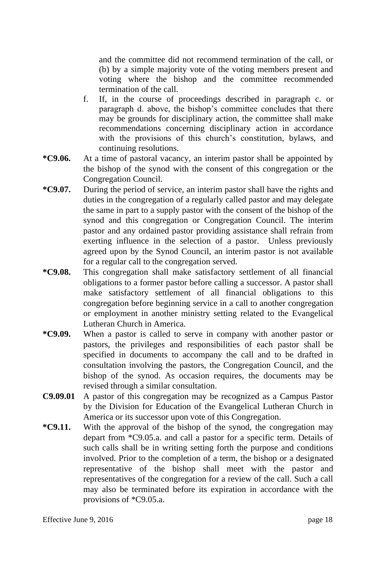and the committee did not recommend termination of the call, or (b) by a simple majority vote of the voting members present and voting where the bishop and the committee recommended termination of the call.

- f. If, in the course of proceedings described in paragraph c. or paragraph d. above, the bishop's committee concludes that there may be grounds for disciplinary action, the committee shall make recommendations concerning disciplinary action in accordance with the provisions of this church's constitution, bylaws, and continuing resolutions.
- **\*C9.06.** At a time of pastoral vacancy, an interim pastor shall be appointed by the bishop of the synod with the consent of this congregation or the Congregation Council.
- **\*C9.07.** During the period of service, an interim pastor shall have the rights and duties in the congregation of a regularly called pastor and may delegate the same in part to a supply pastor with the consent of the bishop of the synod and this congregation or Congregation Council. The interim pastor and any ordained pastor providing assistance shall refrain from exerting influence in the selection of a pastor. Unless previously agreed upon by the Synod Council, an interim pastor is not available for a regular call to the congregation served.
- **\*C9.08.** This congregation shall make satisfactory settlement of all financial obligations to a former pastor before calling a successor. A pastor shall make satisfactory settlement of all financial obligations to this congregation before beginning service in a call to another congregation or employment in another ministry setting related to the Evangelical Lutheran Church in America.
- **\*C9.09.** When a pastor is called to serve in company with another pastor or pastors, the privileges and responsibilities of each pastor shall be specified in documents to accompany the call and to be drafted in consultation involving the pastors, the Congregation Council, and the bishop of the synod. As occasion requires, the documents may be revised through a similar consultation.
- **C9.09.01** A pastor of this congregation may be recognized as a Campus Pastor by the Division for Education of the Evangelical Lutheran Church in America or its successor upon vote of this Congregation.
- **\*C9.11.** With the approval of the bishop of the synod, the congregation may depart from \*C9.05.a. and call a pastor for a specific term. Details of such calls shall be in writing setting forth the purpose and conditions involved. Prior to the completion of a term, the bishop or a designated representative of the bishop shall meet with the pastor and representatives of the congregation for a review of the call. Such a call may also be terminated before its expiration in accordance with the provisions of \*C9.05.a.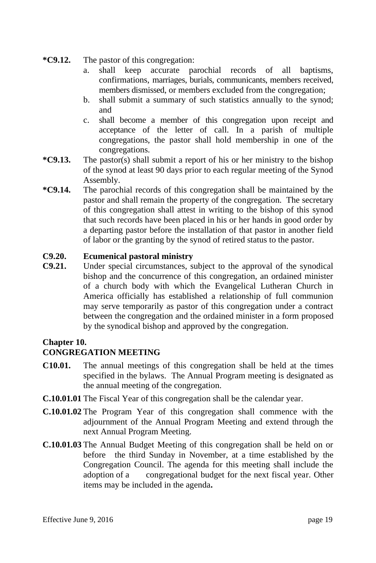- **\*C9.12.** The pastor of this congregation:
	- a. shall keep accurate parochial records of all baptisms, confirmations, marriages, burials, communicants, members received, members dismissed, or members excluded from the congregation;
	- b. shall submit a summary of such statistics annually to the synod; and
	- c. shall become a member of this congregation upon receipt and acceptance of the letter of call. In a parish of multiple congregations, the pastor shall hold membership in one of the congregations.
- **\*C9.13.** The pastor(s) shall submit a report of his or her ministry to the bishop of the synod at least 90 days prior to each regular meeting of the Synod Assembly.
- **\*C9.14.** The parochial records of this congregation shall be maintained by the pastor and shall remain the property of the congregation. The secretary of this congregation shall attest in writing to the bishop of this synod that such records have been placed in his or her hands in good order by a departing pastor before the installation of that pastor in another field of labor or the granting by the synod of retired status to the pastor.

#### **C9.20. Ecumenical pastoral ministry**

**C9.21.** Under special circumstances, subject to the approval of the synodical bishop and the concurrence of this congregation, an ordained minister of a church body with which the Evangelical Lutheran Church in America officially has established a relationship of full communion may serve temporarily as pastor of this congregation under a contract between the congregation and the ordained minister in a form proposed by the synodical bishop and approved by the congregation.

#### **Chapter 10.**

## **CONGREGATION MEETING**

- **C10.01.** The annual meetings of this congregation shall be held at the times specified in the bylaws. The Annual Program meeting is designated as the annual meeting of the congregation.
- **C.10.01.01** The Fiscal Year of this congregation shall be the calendar year.
- **C.10.01.02** The Program Year of this congregation shall commence with the adjournment of the Annual Program Meeting and extend through the next Annual Program Meeting.
- **C.10.01.03** The Annual Budget Meeting of this congregation shall be held on or before the third Sunday in November, at a time established by the Congregation Council. The agenda for this meeting shall include the adoption of a congregational budget for the next fiscal year. Other items may be included in the agenda**.**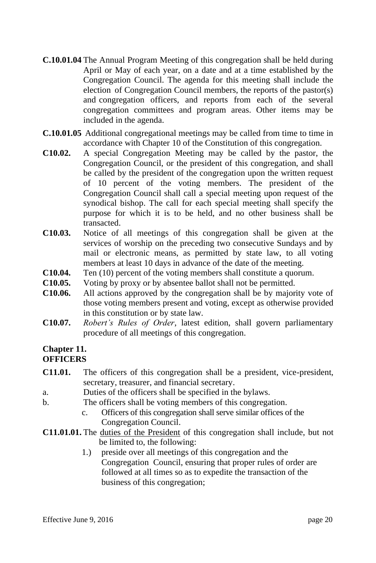- **C.10.01.04** The Annual Program Meeting of this congregation shall be held during April or May of each year, on a date and at a time established by the Congregation Council. The agenda for this meeting shall include the election of Congregation Council members, the reports of the pastor(s) and congregation officers, and reports from each of the several congregation committees and program areas. Other items may be included in the agenda.
- **C.10.01.05** Additional congregational meetings may be called from time to time in accordance with Chapter 10 of the Constitution of this congregation.
- **C10.02.** A special Congregation Meeting may be called by the pastor, the Congregation Council, or the president of this congregation, and shall be called by the president of the congregation upon the written request of 10 percent of the voting members. The president of the Congregation Council shall call a special meeting upon request of the synodical bishop. The call for each special meeting shall specify the purpose for which it is to be held, and no other business shall be transacted.
- **C10.03.** Notice of all meetings of this congregation shall be given at the services of worship on the preceding two consecutive Sundays and by mail or electronic means, as permitted by state law, to all voting members at least 10 days in advance of the date of the meeting.
- **C10.04.** Ten (10) percent of the voting members shall constitute a quorum.
- **C10.05.** Voting by proxy or by absentee ballot shall not be permitted.
- **C10.06.** All actions approved by the congregation shall be by majority vote of those voting members present and voting, except as otherwise provided in this constitution or by state law.
- **C10.07.** *Robert's Rules of Order*, latest edition, shall govern parliamentary procedure of all meetings of this congregation.

#### **Chapter 11. OFFICERS**

- **C11.01.** The officers of this congregation shall be a president, vice-president, secretary, treasurer, and financial secretary.
- a. Duties of the officers shall be specified in the bylaws.
- b. The officers shall be voting members of this congregation.
	- c. Officers of this congregation shall serve similar offices of the Congregation Council.
- **C11.01.01.** The duties of the President of this congregation shall include, but not be limited to, the following:
	- 1.) preside over all meetings of this congregation and the Congregation Council, ensuring that proper rules of order are followed at all times so as to expedite the transaction of the business of this congregation;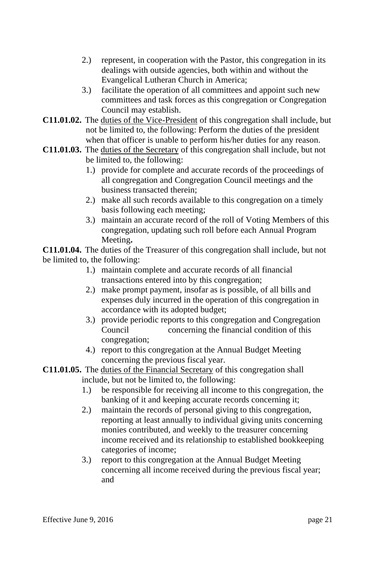- 2.) represent, in cooperation with the Pastor, this congregation in its dealings with outside agencies, both within and without the Evangelical Lutheran Church in America;
- 3.) facilitate the operation of all committees and appoint such new committees and task forces as this congregation or Congregation Council may establish.
- **C11.01.02.** The duties of the Vice-President of this congregation shall include, but not be limited to, the following: Perform the duties of the president when that officer is unable to perform his/her duties for any reason.
- **C11.01.03.** The duties of the Secretary of this congregation shall include, but not be limited to, the following:
	- 1.) provide for complete and accurate records of the proceedings of all congregation and Congregation Council meetings and the business transacted therein;
	- 2.) make all such records available to this congregation on a timely basis following each meeting;
	- 3.) maintain an accurate record of the roll of Voting Members of this congregation, updating such roll before each Annual Program Meeting**.**

**C11.01.04.** The duties of the Treasurer of this congregation shall include, but not be limited to, the following:

- 1.) maintain complete and accurate records of all financial transactions entered into by this congregation;
- 2.) make prompt payment, insofar as is possible, of all bills and expenses duly incurred in the operation of this congregation in accordance with its adopted budget;
- 3.) provide periodic reports to this congregation and Congregation Council concerning the financial condition of this congregation;
- 4.) report to this congregation at the Annual Budget Meeting concerning the previous fiscal year.
- **C11.01.05.** The duties of the Financial Secretary of this congregation shall include, but not be limited to, the following:
	- 1.) be responsible for receiving all income to this congregation, the banking of it and keeping accurate records concerning it;
	- 2.) maintain the records of personal giving to this congregation, reporting at least annually to individual giving units concerning monies contributed, and weekly to the treasurer concerning income received and its relationship to established bookkeeping categories of income;
	- 3.) report to this congregation at the Annual Budget Meeting concerning all income received during the previous fiscal year; and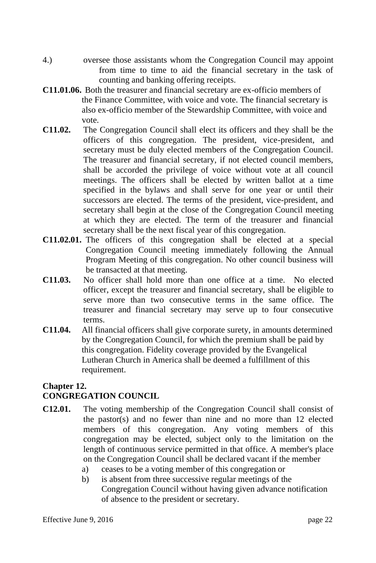- 4.) oversee those assistants whom the Congregation Council may appoint from time to time to aid the financial secretary in the task of counting and banking offering receipts.
- **C11.01.06.** Both the treasurer and financial secretary are ex-officio members of the Finance Committee, with voice and vote. The financial secretary is also ex-officio member of the Stewardship Committee, with voice and vote.
- **C11.02.** The Congregation Council shall elect its officers and they shall be the officers of this congregation. The president, vice-president, and secretary must be duly elected members of the Congregation Council. The treasurer and financial secretary, if not elected council members, shall be accorded the privilege of voice without vote at all council meetings. The officers shall be elected by written ballot at a time specified in the bylaws and shall serve for one year or until their successors are elected. The terms of the president, vice-president, and secretary shall begin at the close of the Congregation Council meeting at which they are elected. The term of the treasurer and financial secretary shall be the next fiscal year of this congregation.
- **C11.02.01.** The officers of this congregation shall be elected at a special Congregation Council meeting immediately following the Annual Program Meeting of this congregation. No other council business will be transacted at that meeting.
- **C11.03.** No officer shall hold more than one office at a time. No elected officer, except the treasurer and financial secretary, shall be eligible to serve more than two consecutive terms in the same office. The treasurer and financial secretary may serve up to four consecutive terms.
- **C11.04.** All financial officers shall give corporate surety, in amounts determined by the Congregation Council, for which the premium shall be paid by this congregation. Fidelity coverage provided by the Evangelical Lutheran Church in America shall be deemed a fulfillment of this requirement.

## **Chapter 12. CONGREGATION COUNCIL**

- **C12.01.** The voting membership of the Congregation Council shall consist of the pastor(s) and no fewer than nine and no more than 12 elected members of this congregation. Any voting members of this congregation may be elected, subject only to the limitation on the length of continuous service permitted in that office. A member's place on the Congregation Council shall be declared vacant if the member
	- a) ceases to be a voting member of this congregation or
	- b) is absent from three successive regular meetings of the Congregation Council without having given advance notification of absence to the president or secretary.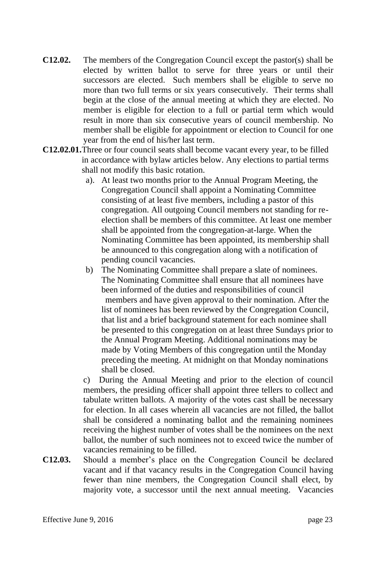- **C12.02.** The members of the Congregation Council except the pastor(s) shall be elected by written ballot to serve for three years or until their successors are elected. Such members shall be eligible to serve no more than two full terms or six years consecutively. Their terms shall begin at the close of the annual meeting at which they are elected. No member is eligible for election to a full or partial term which would result in more than six consecutive years of council membership. No member shall be eligible for appointment or election to Council for one year from the end of his/her last term.
- **C12.02.01.**Three or four council seats shall become vacant every year, to be filled in accordance with bylaw articles below. Any elections to partial terms shall not modify this basic rotation.
	- a). At least two months prior to the Annual Program Meeting, the Congregation Council shall appoint a Nominating Committee consisting of at least five members, including a pastor of this congregation. All outgoing Council members not standing for reelection shall be members of this committee. At least one member shall be appointed from the congregation-at-large. When the Nominating Committee has been appointed, its membership shall be announced to this congregation along with a notification of pending council vacancies.
	- b) The Nominating Committee shall prepare a slate of nominees. The Nominating Committee shall ensure that all nominees have been informed of the duties and responsibilities of council members and have given approval to their nomination. After the list of nominees has been reviewed by the Congregation Council, that list and a brief background statement for each nominee shall be presented to this congregation on at least three Sundays prior to the Annual Program Meeting. Additional nominations may be made by Voting Members of this congregation until the Monday preceding the meeting. At midnight on that Monday nominations shall be closed.

c) During the Annual Meeting and prior to the election of council members, the presiding officer shall appoint three tellers to collect and tabulate written ballots. A majority of the votes cast shall be necessary for election. In all cases wherein all vacancies are not filled, the ballot shall be considered a nominating ballot and the remaining nominees receiving the highest number of votes shall be the nominees on the next ballot, the number of such nominees not to exceed twice the number of vacancies remaining to be filled.

**C12.03.** Should a member's place on the Congregation Council be declared vacant and if that vacancy results in the Congregation Council having fewer than nine members, the Congregation Council shall elect, by majority vote, a successor until the next annual meeting. Vacancies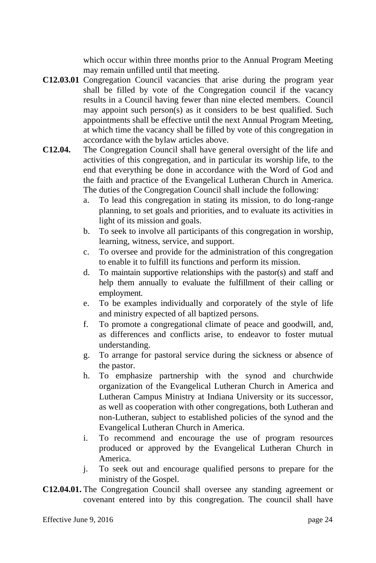which occur within three months prior to the Annual Program Meeting may remain unfilled until that meeting.

- **C12.03.01** Congregation Council vacancies that arise during the program year shall be filled by vote of the Congregation council if the vacancy results in a Council having fewer than nine elected members. Council may appoint such person(s) as it considers to be best qualified. Such appointments shall be effective until the next Annual Program Meeting, at which time the vacancy shall be filled by vote of this congregation in accordance with the bylaw articles above.
- **C12.04.** The Congregation Council shall have general oversight of the life and activities of this congregation, and in particular its worship life, to the end that everything be done in accordance with the Word of God and the faith and practice of the Evangelical Lutheran Church in America. The duties of the Congregation Council shall include the following:
	- a. To lead this congregation in stating its mission, to do long-range planning, to set goals and priorities, and to evaluate its activities in light of its mission and goals.
	- b. To seek to involve all participants of this congregation in worship, learning, witness, service, and support.
	- c. To oversee and provide for the administration of this congregation to enable it to fulfill its functions and perform its mission.
	- d. To maintain supportive relationships with the pastor(s) and staff and help them annually to evaluate the fulfillment of their calling or employment.
	- e. To be examples individually and corporately of the style of life and ministry expected of all baptized persons.
	- f. To promote a congregational climate of peace and goodwill, and, as differences and conflicts arise, to endeavor to foster mutual understanding.
	- g. To arrange for pastoral service during the sickness or absence of the pastor.
	- h. To emphasize partnership with the synod and churchwide organization of the Evangelical Lutheran Church in America and Lutheran Campus Ministry at Indiana University or its successor, as well as cooperation with other congregations, both Lutheran and non-Lutheran, subject to established policies of the synod and the Evangelical Lutheran Church in America.
	- i. To recommend and encourage the use of program resources produced or approved by the Evangelical Lutheran Church in America.
	- j. To seek out and encourage qualified persons to prepare for the ministry of the Gospel.
- **C12.04.01.** The Congregation Council shall oversee any standing agreement or covenant entered into by this congregation. The council shall have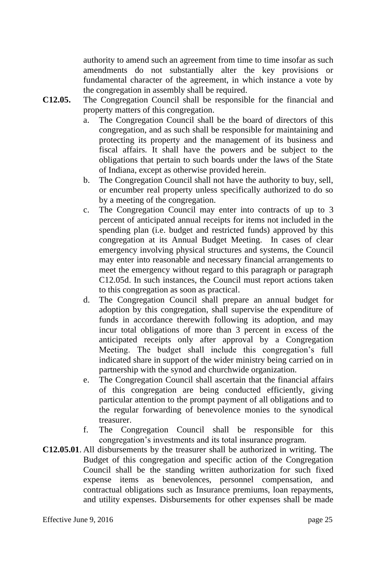authority to amend such an agreement from time to time insofar as such amendments do not substantially alter the key provisions or fundamental character of the agreement, in which instance a vote by the congregation in assembly shall be required.

- **C12.05.** The Congregation Council shall be responsible for the financial and property matters of this congregation.
	- a. The Congregation Council shall be the board of directors of this congregation, and as such shall be responsible for maintaining and protecting its property and the management of its business and fiscal affairs. It shall have the powers and be subject to the obligations that pertain to such boards under the laws of the State of Indiana, except as otherwise provided herein.
	- b. The Congregation Council shall not have the authority to buy, sell, or encumber real property unless specifically authorized to do so by a meeting of the congregation.
	- c. The Congregation Council may enter into contracts of up to 3 percent of anticipated annual receipts for items not included in the spending plan (i.e. budget and restricted funds) approved by this congregation at its Annual Budget Meeting. In cases of clear emergency involving physical structures and systems, the Council may enter into reasonable and necessary financial arrangements to meet the emergency without regard to this paragraph or paragraph C12.05d. In such instances, the Council must report actions taken to this congregation as soon as practical.
	- d. The Congregation Council shall prepare an annual budget for adoption by this congregation, shall supervise the expenditure of funds in accordance therewith following its adoption, and may incur total obligations of more than 3 percent in excess of the anticipated receipts only after approval by a Congregation Meeting. The budget shall include this congregation's full indicated share in support of the wider ministry being carried on in partnership with the synod and churchwide organization.
	- e. The Congregation Council shall ascertain that the financial affairs of this congregation are being conducted efficiently, giving particular attention to the prompt payment of all obligations and to the regular forwarding of benevolence monies to the synodical treasurer.
	- f. The Congregation Council shall be responsible for this congregation's investments and its total insurance program.
- **C12.05.01**. All disbursements by the treasurer shall be authorized in writing. The Budget of this congregation and specific action of the Congregation Council shall be the standing written authorization for such fixed expense items as benevolences, personnel compensation, and contractual obligations such as Insurance premiums, loan repayments, and utility expenses. Disbursements for other expenses shall be made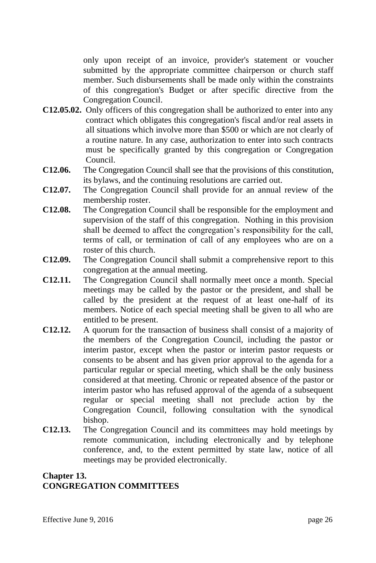only upon receipt of an invoice, provider's statement or voucher submitted by the appropriate committee chairperson or church staff member. Such disbursements shall be made only within the constraints of this congregation's Budget or after specific directive from the Congregation Council.

- **C12.05.02.** Only officers of this congregation shall be authorized to enter into any contract which obligates this congregation's fiscal and/or real assets in all situations which involve more than \$500 or which are not clearly of a routine nature. In any case, authorization to enter into such contracts must be specifically granted by this congregation or Congregation Council.
- **C12.06.** The Congregation Council shall see that the provisions of this constitution, its bylaws, and the continuing resolutions are carried out.
- **C12.07.** The Congregation Council shall provide for an annual review of the membership roster.
- **C12.08.** The Congregation Council shall be responsible for the employment and supervision of the staff of this congregation. Nothing in this provision shall be deemed to affect the congregation's responsibility for the call, terms of call, or termination of call of any employees who are on a roster of this church.
- **C12.09.** The Congregation Council shall submit a comprehensive report to this congregation at the annual meeting.
- **C12.11.** The Congregation Council shall normally meet once a month. Special meetings may be called by the pastor or the president, and shall be called by the president at the request of at least one-half of its members. Notice of each special meeting shall be given to all who are entitled to be present.
- **C12.12.** A quorum for the transaction of business shall consist of a majority of the members of the Congregation Council, including the pastor or interim pastor, except when the pastor or interim pastor requests or consents to be absent and has given prior approval to the agenda for a particular regular or special meeting, which shall be the only business considered at that meeting. Chronic or repeated absence of the pastor or interim pastor who has refused approval of the agenda of a subsequent regular or special meeting shall not preclude action by the Congregation Council, following consultation with the synodical bishop.
- **C12.13.** The Congregation Council and its committees may hold meetings by remote communication, including electronically and by telephone conference, and, to the extent permitted by state law, notice of all meetings may be provided electronically.

### **Chapter 13. CONGREGATION COMMITTEES**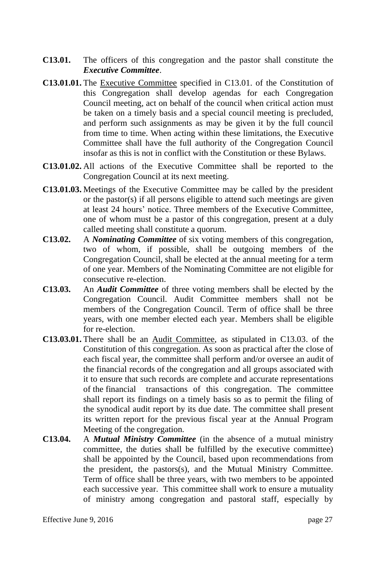- **C13.01.** The officers of this congregation and the pastor shall constitute the *Executive Committee*.
- **C13.01.01.** The Executive Committee specified in C13.01. of the Constitution of this Congregation shall develop agendas for each Congregation Council meeting, act on behalf of the council when critical action must be taken on a timely basis and a special council meeting is precluded, and perform such assignments as may be given it by the full council from time to time. When acting within these limitations, the Executive Committee shall have the full authority of the Congregation Council insofar as this is not in conflict with the Constitution or these Bylaws.
- **C13.01.02.** All actions of the Executive Committee shall be reported to the Congregation Council at its next meeting.
- **C13.01.03.** Meetings of the Executive Committee may be called by the president or the pastor(s) if all persons eligible to attend such meetings are given at least 24 hours' notice. Three members of the Executive Committee, one of whom must be a pastor of this congregation, present at a duly called meeting shall constitute a quorum.
- **C13.02.** A *Nominating Committee* of six voting members of this congregation, two of whom, if possible, shall be outgoing members of the Congregation Council, shall be elected at the annual meeting for a term of one year. Members of the Nominating Committee are not eligible for consecutive re-election.
- **C13.03.** An *Audit Committee* of three voting members shall be elected by the Congregation Council. Audit Committee members shall not be members of the Congregation Council. Term of office shall be three years, with one member elected each year. Members shall be eligible for re-election.
- **C13.03.01.** There shall be an Audit Committee, as stipulated in C13.03. of the Constitution of this congregation. As soon as practical after the close of each fiscal year, the committee shall perform and/or oversee an audit of the financial records of the congregation and all groups associated with it to ensure that such records are complete and accurate representations of the financial transactions of this congregation. The committee shall report its findings on a timely basis so as to permit the filing of the synodical audit report by its due date. The committee shall present its written report for the previous fiscal year at the Annual Program Meeting of the congregation.
- **C13.04.** A *Mutual Ministry Committee* (in the absence of a mutual ministry committee, the duties shall be fulfilled by the executive committee) shall be appointed by the Council, based upon recommendations from the president, the pastors(s), and the Mutual Ministry Committee. Term of office shall be three years, with two members to be appointed each successive year.This committee shall work to ensure a mutuality of ministry among congregation and pastoral staff, especially by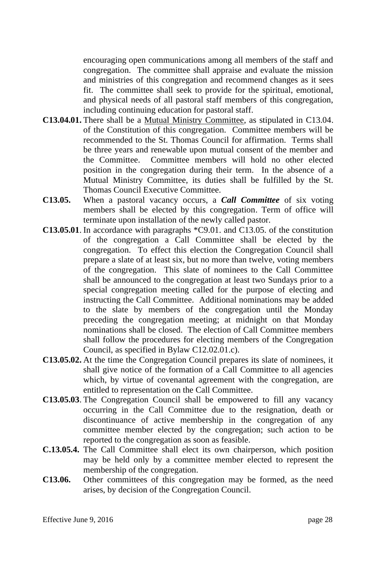encouraging open communications among all members of the staff and congregation. The committee shall appraise and evaluate the mission and ministries of this congregation and recommend changes as it sees fit. The committee shall seek to provide for the spiritual, emotional, and physical needs of all pastoral staff members of this congregation, including continuing education for pastoral staff.

- **C13.04.01.** There shall be a Mutual Ministry Committee, as stipulated in C13.04. of the Constitution of this congregation. Committee members will be recommended to the St. Thomas Council for affirmation. Terms shall be three years and renewable upon mutual consent of the member and the Committee. Committee members will hold no other elected position in the congregation during their term. In the absence of a Mutual Ministry Committee, its duties shall be fulfilled by the St. Thomas Council Executive Committee.
- **C13.05.** When a pastoral vacancy occurs, a *Call Committee* of six voting members shall be elected by this congregation. Term of office will terminate upon installation of the newly called pastor.
- **C13.05.01**. In accordance with paragraphs \*C9.01. and C13.05. of the constitution of the congregation a Call Committee shall be elected by the congregation. To effect this election the Congregation Council shall prepare a slate of at least six, but no more than twelve, voting members of the congregation. This slate of nominees to the Call Committee shall be announced to the congregation at least two Sundays prior to a special congregation meeting called for the purpose of electing and instructing the Call Committee. Additional nominations may be added to the slate by members of the congregation until the Monday preceding the congregation meeting; at midnight on that Monday nominations shall be closed. The election of Call Committee members shall follow the procedures for electing members of the Congregation Council, as specified in Bylaw C12.02.01.c).
- **C13.05.02.** At the time the Congregation Council prepares its slate of nominees, it shall give notice of the formation of a Call Committee to all agencies which, by virtue of covenantal agreement with the congregation, are entitled to representation on the Call Committee.
- **C13.05.03**. The Congregation Council shall be empowered to fill any vacancy occurring in the Call Committee due to the resignation, death or discontinuance of active membership in the congregation of any committee member elected by the congregation; such action to be reported to the congregation as soon as feasible.
- **C.13.05.4.** The Call Committee shall elect its own chairperson, which position may be held only by a committee member elected to represent the membership of the congregation.
- **C13.06.** Other committees of this congregation may be formed, as the need arises, by decision of the Congregation Council.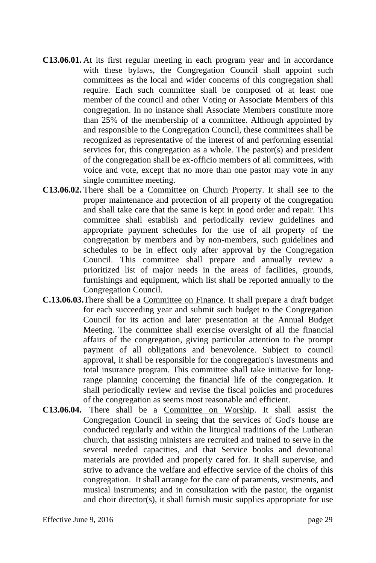- **C13.06.01.** At its first regular meeting in each program year and in accordance with these bylaws, the Congregation Council shall appoint such committees as the local and wider concerns of this congregation shall require. Each such committee shall be composed of at least one member of the council and other Voting or Associate Members of this congregation. In no instance shall Associate Members constitute more than 25% of the membership of a committee. Although appointed by and responsible to the Congregation Council, these committees shall be recognized as representative of the interest of and performing essential services for, this congregation as a whole. The pastor(s) and president of the congregation shall be ex-officio members of all committees, with voice and vote, except that no more than one pastor may vote in any single committee meeting.
- **C13.06.02.** There shall be a Committee on Church Property. It shall see to the proper maintenance and protection of all property of the congregation and shall take care that the same is kept in good order and repair. This committee shall establish and periodically review guidelines and appropriate payment schedules for the use of all property of the congregation by members and by non-members, such guidelines and schedules to be in effect only after approval by the Congregation Council. This committee shall prepare and annually review a prioritized list of major needs in the areas of facilities, grounds, furnishings and equipment, which list shall be reported annually to the Congregation Council.
- **C.13.06.03.**There shall be a Committee on Finance. It shall prepare a draft budget for each succeeding year and submit such budget to the Congregation Council for its action and later presentation at the Annual Budget Meeting. The committee shall exercise oversight of all the financial affairs of the congregation, giving particular attention to the prompt payment of all obligations and benevolence. Subject to council approval, it shall be responsible for the congregation's investments and total insurance program. This committee shall take initiative for longrange planning concerning the financial life of the congregation. It shall periodically review and revise the fiscal policies and procedures of the congregation as seems most reasonable and efficient.
- **C13.06.04.** There shall be a Committee on Worship. It shall assist the Congregation Council in seeing that the services of God's house are conducted regularly and within the liturgical traditions of the Lutheran church, that assisting ministers are recruited and trained to serve in the several needed capacities, and that Service books and devotional materials are provided and properly cared for. It shall supervise, and strive to advance the welfare and effective service of the choirs of this congregation. It shall arrange for the care of paraments, vestments, and musical instruments; and in consultation with the pastor, the organist and choir director(s), it shall furnish music supplies appropriate for use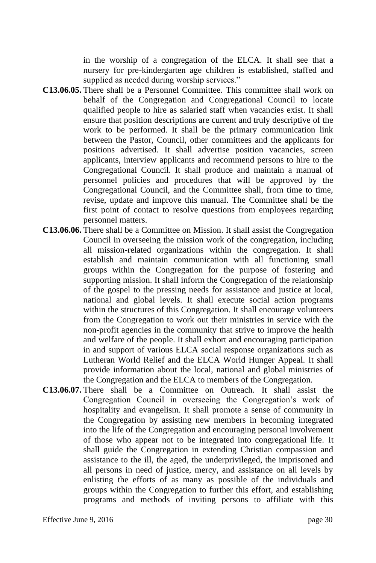in the worship of a congregation of the ELCA. It shall see that a nursery for pre-kindergarten age children is established, staffed and supplied as needed during worship services."

- **C13.06.05.** There shall be a Personnel Committee. This committee shall work on behalf of the Congregation and Congregational Council to locate qualified people to hire as salaried staff when vacancies exist. It shall ensure that position descriptions are current and truly descriptive of the work to be performed. It shall be the primary communication link between the Pastor, Council, other committees and the applicants for positions advertised. It shall advertise position vacancies, screen applicants, interview applicants and recommend persons to hire to the Congregational Council. It shall produce and maintain a manual of personnel policies and procedures that will be approved by the Congregational Council, and the Committee shall, from time to time, revise, update and improve this manual. The Committee shall be the first point of contact to resolve questions from employees regarding personnel matters.
- **C13.06.06.** There shall be a Committee on Mission. It shall assist the Congregation Council in overseeing the mission work of the congregation, including all mission-related organizations within the congregation. It shall establish and maintain communication with all functioning small groups within the Congregation for the purpose of fostering and supporting mission. It shall inform the Congregation of the relationship of the gospel to the pressing needs for assistance and justice at local, national and global levels. It shall execute social action programs within the structures of this Congregation. It shall encourage volunteers from the Congregation to work out their ministries in service with the non-profit agencies in the community that strive to improve the health and welfare of the people. It shall exhort and encouraging participation in and support of various ELCA social response organizations such as Lutheran World Relief and the ELCA World Hunger Appeal. It shall provide information about the local, national and global ministries of the Congregation and the ELCA to members of the Congregation.
- **C13.06.07.** There shall be a Committee on Outreach. It shall assist the Congregation Council in overseeing the Congregation's work of hospitality and evangelism. It shall promote a sense of community in the Congregation by assisting new members in becoming integrated into the life of the Congregation and encouraging personal involvement of those who appear not to be integrated into congregational life. It shall guide the Congregation in extending Christian compassion and assistance to the ill, the aged, the underprivileged, the imprisoned and all persons in need of justice, mercy, and assistance on all levels by enlisting the efforts of as many as possible of the individuals and groups within the Congregation to further this effort, and establishing programs and methods of inviting persons to affiliate with this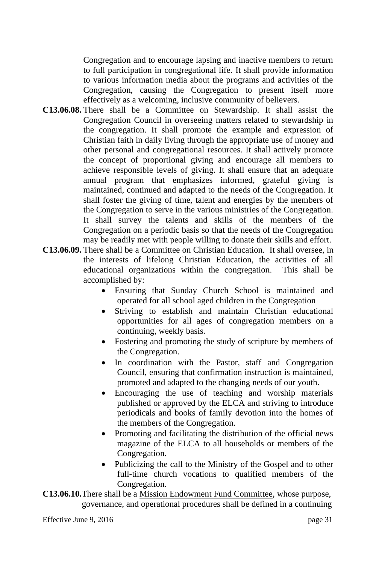Congregation and to encourage lapsing and inactive members to return to full participation in congregational life. It shall provide information to various information media about the programs and activities of the Congregation, causing the Congregation to present itself more effectively as a welcoming, inclusive community of believers.

- **C13.06.08.** There shall be a Committee on Stewardship. It shall assist the Congregation Council in overseeing matters related to stewardship in the congregation. It shall promote the example and expression of Christian faith in daily living through the appropriate use of money and other personal and congregational resources. It shall actively promote the concept of proportional giving and encourage all members to achieve responsible levels of giving. It shall ensure that an adequate annual program that emphasizes informed, grateful giving is maintained, continued and adapted to the needs of the Congregation. It shall foster the giving of time, talent and energies by the members of the Congregation to serve in the various ministries of the Congregation. It shall survey the talents and skills of the members of the Congregation on a periodic basis so that the needs of the Congregation may be readily met with people willing to donate their skills and effort.
- **C13.06.09.** There shall be a Committee on Christian Education. It shall oversee, in the interests of lifelong Christian Education, the activities of all educational organizations within the congregation. This shall be accomplished by:
	- Ensuring that Sunday Church School is maintained and operated for all school aged children in the Congregation
	- Striving to establish and maintain Christian educational opportunities for all ages of congregation members on a continuing, weekly basis.
	- Fostering and promoting the study of scripture by members of the Congregation.
	- In coordination with the Pastor, staff and Congregation Council, ensuring that confirmation instruction is maintained, promoted and adapted to the changing needs of our youth.
	- Encouraging the use of teaching and worship materials published or approved by the ELCA and striving to introduce periodicals and books of family devotion into the homes of the members of the Congregation.
	- Promoting and facilitating the distribution of the official news magazine of the ELCA to all households or members of the Congregation.
	- Publicizing the call to the Ministry of the Gospel and to other full-time church vocations to qualified members of the Congregation.

**C13.06.10.**There shall be a Mission Endowment Fund Committee, whose purpose, governance, and operational procedures shall be defined in a continuing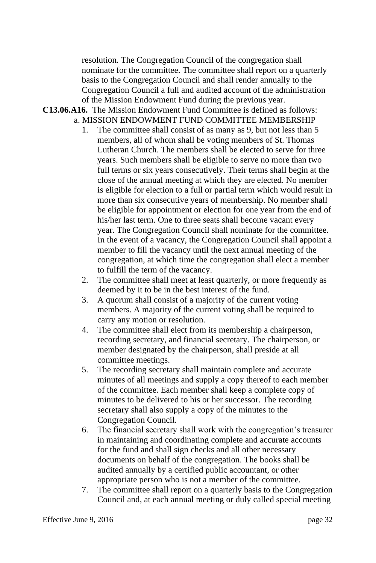resolution. The Congregation Council of the congregation shall nominate for the committee. The committee shall report on a quarterly basis to the Congregation Council and shall render annually to the Congregation Council a full and audited account of the administration of the Mission Endowment Fund during the previous year.

- **C13.06.A16.** The Mission Endowment Fund Committee is defined as follows:
	- a. MISSION ENDOWMENT FUND COMMITTEE MEMBERSHIP
		- 1. The committee shall consist of as many as 9, but not less than 5 members, all of whom shall be voting members of St. Thomas Lutheran Church. The members shall be elected to serve for three years. Such members shall be eligible to serve no more than two full terms or six years consecutively. Their terms shall begin at the close of the annual meeting at which they are elected. No member is eligible for election to a full or partial term which would result in more than six consecutive years of membership. No member shall be eligible for appointment or election for one year from the end of his/her last term. One to three seats shall become vacant every year. The Congregation Council shall nominate for the committee. In the event of a vacancy, the Congregation Council shall appoint a member to fill the vacancy until the next annual meeting of the congregation, at which time the congregation shall elect a member to fulfill the term of the vacancy.
		- 2. The committee shall meet at least quarterly, or more frequently as deemed by it to be in the best interest of the fund.
		- 3. A quorum shall consist of a majority of the current voting members. A majority of the current voting shall be required to carry any motion or resolution.
		- 4. The committee shall elect from its membership a chairperson, recording secretary, and financial secretary. The chairperson, or member designated by the chairperson, shall preside at all committee meetings.
		- 5. The recording secretary shall maintain complete and accurate minutes of all meetings and supply a copy thereof to each member of the committee. Each member shall keep a complete copy of minutes to be delivered to his or her successor. The recording secretary shall also supply a copy of the minutes to the Congregation Council.
		- 6. The financial secretary shall work with the congregation's treasurer in maintaining and coordinating complete and accurate accounts for the fund and shall sign checks and all other necessary documents on behalf of the congregation. The books shall be audited annually by a certified public accountant, or other appropriate person who is not a member of the committee.
		- 7. The committee shall report on a quarterly basis to the Congregation Council and, at each annual meeting or duly called special meeting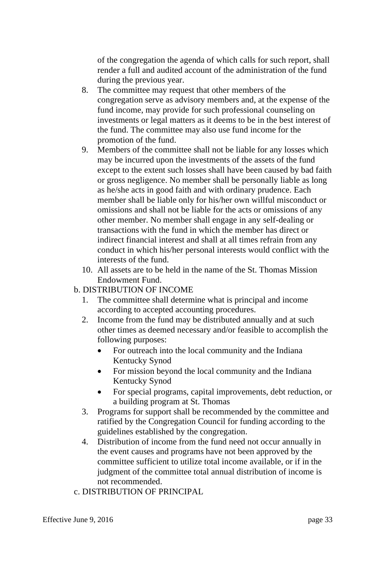of the congregation the agenda of which calls for such report, shall render a full and audited account of the administration of the fund during the previous year.

- 8. The committee may request that other members of the congregation serve as advisory members and, at the expense of the fund income, may provide for such professional counseling on investments or legal matters as it deems to be in the best interest of the fund. The committee may also use fund income for the promotion of the fund.
- 9. Members of the committee shall not be liable for any losses which may be incurred upon the investments of the assets of the fund except to the extent such losses shall have been caused by bad faith or gross negligence. No member shall be personally liable as long as he/she acts in good faith and with ordinary prudence. Each member shall be liable only for his/her own willful misconduct or omissions and shall not be liable for the acts or omissions of any other member. No member shall engage in any self-dealing or transactions with the fund in which the member has direct or indirect financial interest and shall at all times refrain from any conduct in which his/her personal interests would conflict with the interests of the fund.
- 10. All assets are to be held in the name of the St. Thomas Mission Endowment Fund.
- b. DISTRIBUTION OF INCOME
	- 1. The committee shall determine what is principal and income according to accepted accounting procedures.
	- 2. Income from the fund may be distributed annually and at such other times as deemed necessary and/or feasible to accomplish the following purposes:
		- For outreach into the local community and the Indiana Kentucky Synod
		- For mission beyond the local community and the Indiana Kentucky Synod
		- For special programs, capital improvements, debt reduction, or a building program at St. Thomas
	- 3. Programs for support shall be recommended by the committee and ratified by the Congregation Council for funding according to the guidelines established by the congregation.
	- 4. Distribution of income from the fund need not occur annually in the event causes and programs have not been approved by the committee sufficient to utilize total income available, or if in the judgment of the committee total annual distribution of income is not recommended.
- c. DISTRIBUTION OF PRINCIPAL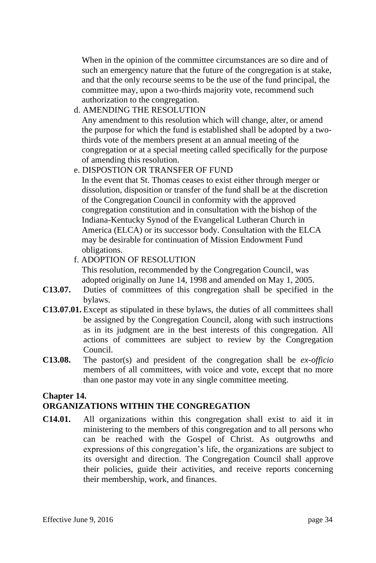When in the opinion of the committee circumstances are so dire and of such an emergency nature that the future of the congregation is at stake, and that the only recourse seems to be the use of the fund principal, the committee may, upon a two-thirds majority vote, recommend such authorization to the congregation.

d. AMENDING THE RESOLUTION

Any amendment to this resolution which will change, alter, or amend the purpose for which the fund is established shall be adopted by a twothirds vote of the members present at an annual meeting of the congregation or at a special meeting called specifically for the purpose of amending this resolution.

e. DISPOSTION OR TRANSFER OF FUND

In the event that St. Thomas ceases to exist either through merger or dissolution, disposition or transfer of the fund shall be at the discretion of the Congregation Council in conformity with the approved congregation constitution and in consultation with the bishop of the Indiana-Kentucky Synod of the Evangelical Lutheran Church in America (ELCA) or its successor body. Consultation with the ELCA may be desirable for continuation of Mission Endowment Fund obligations.

f. ADOPTION OF RESOLUTION

This resolution, recommended by the Congregation Council, was adopted originally on June 14, 1998 and amended on May 1, 2005.

- **C13.07.** Duties of committees of this congregation shall be specified in the bylaws.
- **C13.07.01.** Except as stipulated in these bylaws, the duties of all committees shall be assigned by the Congregation Council, along with such instructions as in its judgment are in the best interests of this congregation. All actions of committees are subject to review by the Congregation Council.
- **C13.08.** The pastor(s) and president of the congregation shall be *ex-officio* members of all committees, with voice and vote, except that no more than one pastor may vote in any single committee meeting.

#### **Chapter 14. ORGANIZATIONS WITHIN THE CONGREGATION**

**C14.01.** All organizations within this congregation shall exist to aid it in ministering to the members of this congregation and to all persons who can be reached with the Gospel of Christ. As outgrowths and expressions of this congregation's life, the organizations are subject to its oversight and direction. The Congregation Council shall approve their policies, guide their activities, and receive reports concerning their membership, work, and finances.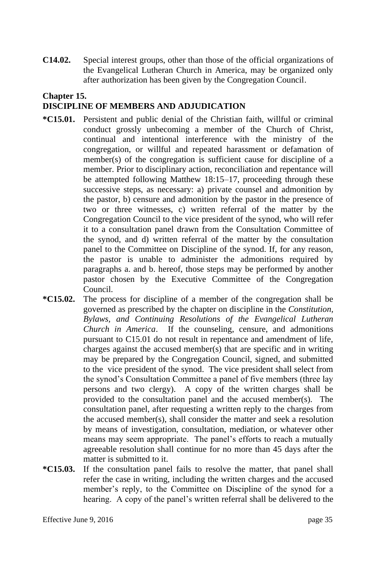**C14.02.** Special interest groups, other than those of the official organizations of the Evangelical Lutheran Church in America, may be organized only after authorization has been given by the Congregation Council.

## **Chapter 15. DISCIPLINE OF MEMBERS AND ADJUDICATION**

- **\*C15.01.** Persistent and public denial of the Christian faith, willful or criminal conduct grossly unbecoming a member of the Church of Christ, continual and intentional interference with the ministry of the congregation, or willful and repeated harassment or defamation of member(s) of the congregation is sufficient cause for discipline of a member. Prior to disciplinary action, reconciliation and repentance will be attempted following Matthew 18:15–17, proceeding through these successive steps, as necessary: a) private counsel and admonition by the pastor, b) censure and admonition by the pastor in the presence of two or three witnesses, c) written referral of the matter by the Congregation Council to the vice president of the synod, who will refer it to a consultation panel drawn from the Consultation Committee of the synod, and d) written referral of the matter by the consultation panel to the Committee on Discipline of the synod. If, for any reason, the pastor is unable to administer the admonitions required by paragraphs a. and b. hereof, those steps may be performed by another pastor chosen by the Executive Committee of the Congregation Council.
- **\*C15.02.** The process for discipline of a member of the congregation shall be governed as prescribed by the chapter on discipline in the *Constitution, Bylaws, and Continuing Resolutions of the Evangelical Lutheran Church in America*. If the counseling, censure, and admonitions pursuant to C15.01 do not result in repentance and amendment of life, charges against the accused member(s) that are specific and in writing may be prepared by the Congregation Council, signed, and submitted to the vice president of the synod. The vice president shall select from the synod's Consultation Committee a panel of five members (three lay persons and two clergy). A copy of the written charges shall be provided to the consultation panel and the accused member(s). The consultation panel, after requesting a written reply to the charges from the accused member(s), shall consider the matter and seek a resolution by means of investigation, consultation, mediation, or whatever other means may seem appropriate. The panel's efforts to reach a mutually agreeable resolution shall continue for no more than 45 days after the matter is submitted to it.
- **\*C15.03.** If the consultation panel fails to resolve the matter, that panel shall refer the case in writing, including the written charges and the accused member's reply, to the Committee on Discipline of the synod for a hearing. A copy of the panel's written referral shall be delivered to the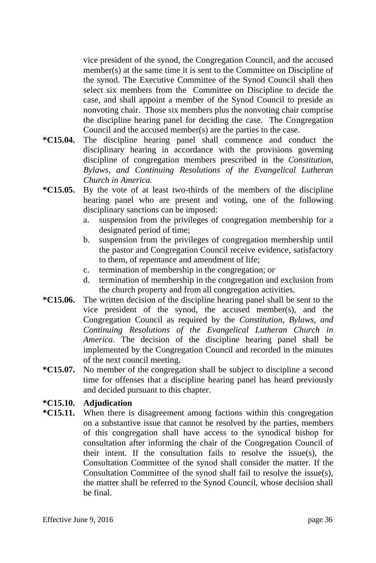vice president of the synod, the Congregation Council, and the accused member(s) at the same time it is sent to the Committee on Discipline of the synod. The Executive Committee of the Synod Council shall then select six members from the Committee on Discipline to decide the case, and shall appoint a member of the Synod Council to preside as nonvoting chair. Those six members plus the nonvoting chair comprise the discipline hearing panel for deciding the case. The Congregation Council and the accused member(s) are the parties to the case.

- **\*C15.04.** The discipline hearing panel shall commence and conduct the disciplinary hearing in accordance with the provisions governing discipline of congregation members prescribed in the *Constitution, Bylaws, and Continuing Resolutions of the Evangelical Lutheran Church in America.*
- **\*C15.05.** By the vote of at least two-thirds of the members of the discipline hearing panel who are present and voting, one of the following disciplinary sanctions can be imposed:
	- a. suspension from the privileges of congregation membership for a designated period of time;
	- b. suspension from the privileges of congregation membership until the pastor and Congregation Council receive evidence, satisfactory to them, of repentance and amendment of life;
	- c. termination of membership in the congregation; or
	- d. termination of membership in the congregation and exclusion from the church property and from all congregation activities.
- **\*C15.06.** The written decision of the discipline hearing panel shall be sent to the vice president of the synod, the accused member(s), and the Congregation Council as required by the *Constitution, Bylaws, and Continuing Resolutions of the Evangelical Lutheran Church in America*. The decision of the discipline hearing panel shall be implemented by the Congregation Council and recorded in the minutes of the next council meeting.
- **\*C15.07.** No member of the congregation shall be subject to discipline a second time for offenses that a discipline hearing panel has heard previously and decided pursuant to this chapter.

#### **\*C15.10. Adjudication**

**\*C15.11.** When there is disagreement among factions within this congregation on a substantive issue that cannot be resolved by the parties, members of this congregation shall have access to the synodical bishop for consultation after informing the chair of the Congregation Council of their intent. If the consultation fails to resolve the issue(s), the Consultation Committee of the synod shall consider the matter. If the Consultation Committee of the synod shall fail to resolve the issue(s), the matter shall be referred to the Synod Council, whose decision shall be final.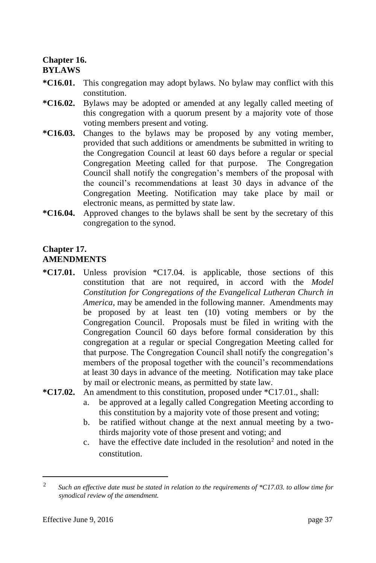#### **Chapter 16. BYLAWS**

- **\*C16.01.** This congregation may adopt bylaws. No bylaw may conflict with this constitution.
- **\*C16.02.** Bylaws may be adopted or amended at any legally called meeting of this congregation with a quorum present by a majority vote of those voting members present and voting.
- **\*C16.03.** Changes to the bylaws may be proposed by any voting member, provided that such additions or amendments be submitted in writing to the Congregation Council at least 60 days before a regular or special Congregation Meeting called for that purpose. The Congregation Council shall notify the congregation's members of the proposal with the council's recommendations at least 30 days in advance of the Congregation Meeting. Notification may take place by mail or electronic means, as permitted by state law.
- **\*C16.04.** Approved changes to the bylaws shall be sent by the secretary of this congregation to the synod.

## **Chapter 17. AMENDMENTS**

- **\*C17.01.** Unless provision \*C17.04. is applicable, those sections of this constitution that are not required, in accord with the *Model Constitution for Congregations of the Evangelical Lutheran Church in America*, may be amended in the following manner. Amendments may be proposed by at least ten (10) voting members or by the Congregation Council. Proposals must be filed in writing with the Congregation Council 60 days before formal consideration by this congregation at a regular or special Congregation Meeting called for that purpose. The Congregation Council shall notify the congregation's members of the proposal together with the council's recommendations at least 30 days in advance of the meeting. Notification may take place by mail or electronic means, as permitted by state law.
- **\*C17.02.** An amendment to this constitution, proposed under \*C17.01., shall:
	- a. be approved at a legally called Congregation Meeting according to this constitution by a majority vote of those present and voting;
	- b. be ratified without change at the next annual meeting by a twothirds majority vote of those present and voting; and
	- c. have the effective date included in the resolution<sup>2</sup> and noted in the constitution.

<sup>2</sup> *Such an effective date must be stated in relation to the requirements of \*C17.03. to allow time for synodical review of the amendment.*